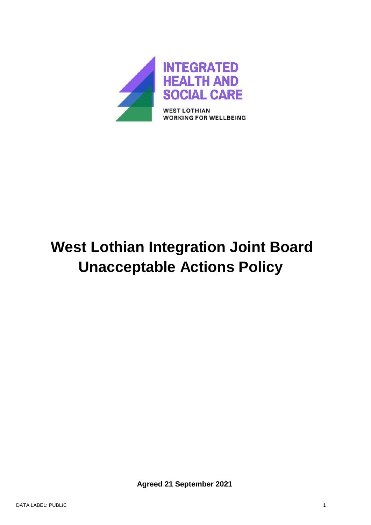

# **West Lothian Integration Joint Board Unacceptable Actions Policy**

 **Agreed 21 September 2021**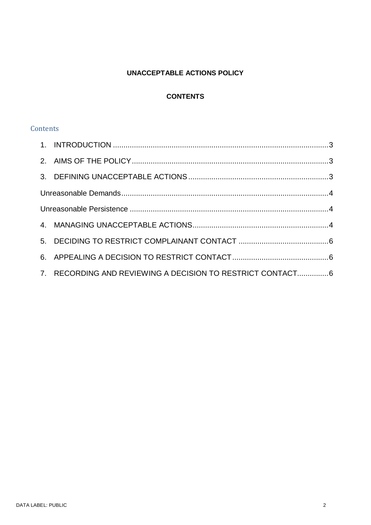# **UNACCEPTABLE ACTIONS POLICY**

# **CONTENTS**

# **Contents**

| 7. RECORDING AND REVIEWING A DECISION TO RESTRICT CONTACT6 |  |
|------------------------------------------------------------|--|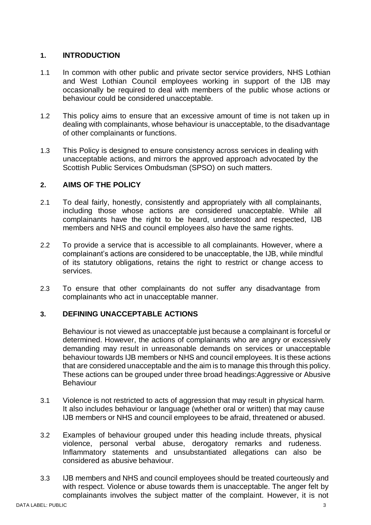# <span id="page-2-0"></span>**1. INTRODUCTION**

- 1.1 In common with other public and private sector service providers, NHS Lothian and West Lothian Council employees working in support of the IJB may occasionally be required to deal with members of the public whose actions or behaviour could be considered unacceptable.
- 1.2 This policy aims to ensure that an excessive amount of time is not taken up in dealing with complainants, whose behaviour is unacceptable, to the disadvantage of other complainants or functions.
- 1.3 This Policy is designed to ensure consistency across services in dealing with unacceptable actions, and mirrors the approved approach advocated by the Scottish Public Services Ombudsman (SPSO) on such matters.

# <span id="page-2-1"></span>**2. AIMS OF THE POLICY**

- 2.1 To deal fairly, honestly, consistently and appropriately with all complainants, including those whose actions are considered unacceptable. While all complainants have the right to be heard, understood and respected, IJB members and NHS and council employees also have the same rights.
- 2.2 To provide a service that is accessible to all complainants. However, where a complainant's actions are considered to be unacceptable, the IJB, while mindful of its statutory obligations, retains the right to restrict or change access to services.
- 2.3 To ensure that other complainants do not suffer any disadvantage from complainants who act in unacceptable manner.

#### <span id="page-2-2"></span>**3. DEFINING UNACCEPTABLE ACTIONS**

Behaviour is not viewed as unacceptable just because a complainant is forceful or determined. However, the actions of complainants who are angry or excessively demanding may result in unreasonable demands on services or unacceptable behaviour towards IJB members or NHS and council employees. It is these actions that are considered unacceptable and the aim is to manage this through this policy. These actions can be grouped under three broad headings:Aggressive or Abusive **Behaviour** 

- 3.1 Violence is not restricted to acts of aggression that may result in physical harm. It also includes behaviour or language (whether oral or written) that may cause IJB members or NHS and council employees to be afraid, threatened or abused.
- 3.2 Examples of behaviour grouped under this heading include threats, physical violence, personal verbal abuse, derogatory remarks and rudeness. Inflammatory statements and unsubstantiated allegations can also be considered as abusive behaviour.
- 3.3 IJB members and NHS and council employees should be treated courteously and with respect. Violence or abuse towards them is unacceptable. The anger felt by complainants involves the subject matter of the complaint. However, it is not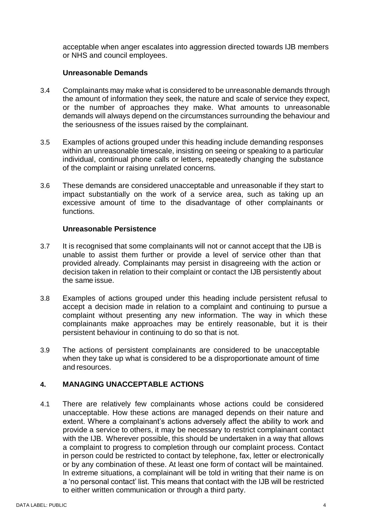acceptable when anger escalates into aggression directed towards IJB members or NHS and council employees.

# **Unreasonable Demands**

- <span id="page-3-0"></span>3.4 Complainants may make what is considered to be unreasonable demands through the amount of information they seek, the nature and scale of service they expect, or the number of approaches they make. What amounts to unreasonable demands will always depend on the circumstances surrounding the behaviour and the seriousness of the issues raised by the complainant.
- 3.5 Examples of actions grouped under this heading include demanding responses within an unreasonable timescale, insisting on seeing or speaking to a particular individual, continual phone calls or letters, repeatedly changing the substance of the complaint or raising unrelated concerns.
- 3.6 These demands are considered unacceptable and unreasonable if they start to impact substantially on the work of a service area, such as taking up an excessive amount of time to the disadvantage of other complainants or functions.

#### **Unreasonable Persistence**

- <span id="page-3-1"></span>3.7 It is recognised that some complainants will not or cannot accept that the IJB is unable to assist them further or provide a level of service other than that provided already. Complainants may persist in disagreeing with the action or decision taken in relation to their complaint or contact the IJB persistently about the same issue.
- 3.8 Examples of actions grouped under this heading include persistent refusal to accept a decision made in relation to a complaint and continuing to pursue a complaint without presenting any new information. The way in which these complainants make approaches may be entirely reasonable, but it is their persistent behaviour in continuing to do so that is not.
- 3.9 The actions of persistent complainants are considered to be unacceptable when they take up what is considered to be a disproportionate amount of time and resources.

#### <span id="page-3-2"></span>**4. MANAGING UNACCEPTABLE ACTIONS**

4.1 There are relatively few complainants whose actions could be considered unacceptable. How these actions are managed depends on their nature and extent. Where a complainant's actions adversely affect the ability to work and provide a service to others, it may be necessary to restrict complainant contact with the IJB. Wherever possible, this should be undertaken in a way that allows a complaint to progress to completion through our complaint process. Contact in person could be restricted to contact by telephone, fax, letter or electronically or by any combination of these. At least one form of contact will be maintained. In extreme situations, a complainant will be told in writing that their name is on a 'no personal contact' list. This means that contact with the IJB will be restricted to either written communication or through a third party.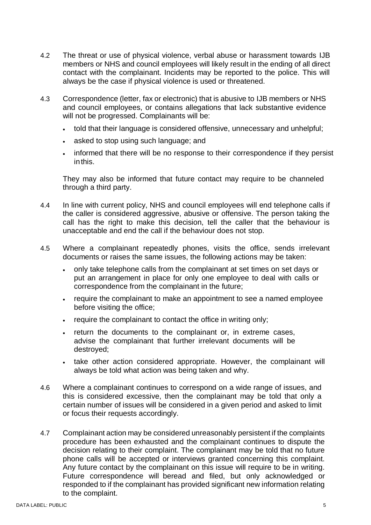- 4.2 The threat or use of physical violence, verbal abuse or harassment towards IJB members or NHS and council employees will likely result in the ending of all direct contact with the complainant. Incidents may be reported to the police. This will always be the case if physical violence is used or threatened.
- 4.3 Correspondence (letter, fax or electronic) that is abusive to IJB members or NHS and council employees, or contains allegations that lack substantive evidence will not be progressed. Complainants will be:
	- told that their language is considered offensive, unnecessary and unhelpful;
	- asked to stop using such language; and
	- informed that there will be no response to their correspondence if they persist inthis.

They may also be informed that future contact may require to be channeled through a third party.

- 4.4 In line with current policy, NHS and council employees will end telephone calls if the caller is considered aggressive, abusive or offensive. The person taking the call has the right to make this decision, tell the caller that the behaviour is unacceptable and end the call if the behaviour does not stop.
- 4.5 Where a complainant repeatedly phones, visits the office, sends irrelevant documents or raises the same issues, the following actions may be taken:
	- only take telephone calls from the complainant at set times on set days or put an arrangement in place for only one employee to deal with calls or correspondence from the complainant in the future;
	- require the complainant to make an appointment to see a named employee before visiting the office;
	- require the complainant to contact the office in writing only;
	- return the documents to the complainant or, in extreme cases, advise the complainant that further irrelevant documents will be destroyed;
	- take other action considered appropriate. However, the complainant will always be told what action was being taken and why.
- 4.6 Where a complainant continues to correspond on a wide range of issues, and this is considered excessive, then the complainant may be told that only a certain number of issues will be considered in a given period and asked to limit or focus their requests accordingly.
- 4.7 Complainant action may be considered unreasonably persistent if the complaints procedure has been exhausted and the complainant continues to dispute the decision relating to their complaint. The complainant may be told that no future phone calls will be accepted or interviews granted concerning this complaint. Any future contact by the complainant on this issue will require to be in writing. Future correspondence will beread and filed, but only acknowledged or responded to if the complainant has provided significant new information relating to the complaint.